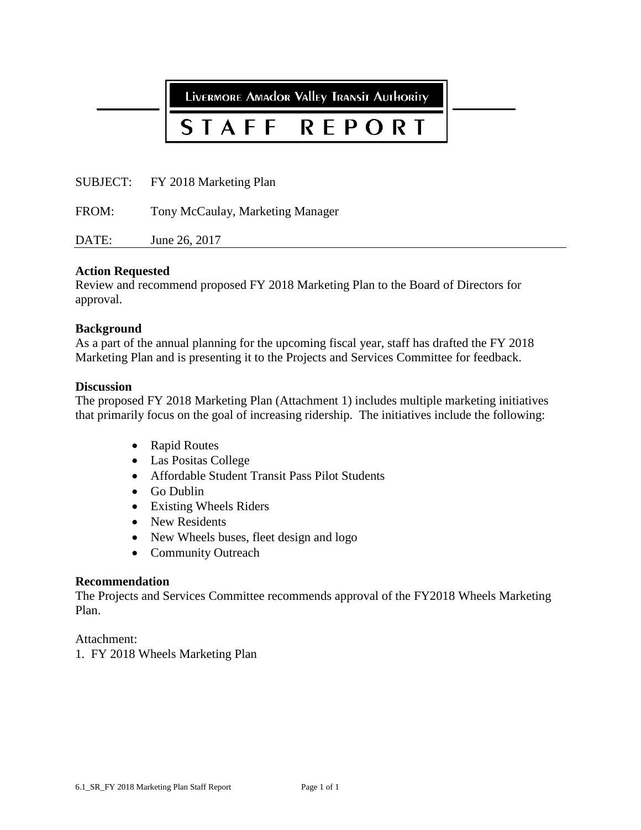LIVERMORE AMAdOR VAllEy TRANSIT AUTHORITY

#### STAFF REPORT

SUBJECT: FY 2018 Marketing Plan

FROM: Tony McCaulay, Marketing Manager

DATE: June 26, 2017

#### **Action Requested**

Review and recommend proposed FY 2018 Marketing Plan to the Board of Directors for approval.

#### **Background**

As a part of the annual planning for the upcoming fiscal year, staff has drafted the FY 2018 Marketing Plan and is presenting it to the Projects and Services Committee for feedback.

#### **Discussion**

The proposed FY 2018 Marketing Plan (Attachment 1) includes multiple marketing initiatives that primarily focus on the goal of increasing ridership. The initiatives include the following:

- Rapid Routes
- Las Positas College
- Affordable Student Transit Pass Pilot Students
- Go Dublin
- Existing Wheels Riders
- New Residents
- New Wheels buses, fleet design and logo
- Community Outreach

#### **Recommendation**

The Projects and Services Committee recommends approval of the FY2018 Wheels Marketing Plan.

Attachment:

1. FY 2018 Wheels Marketing Plan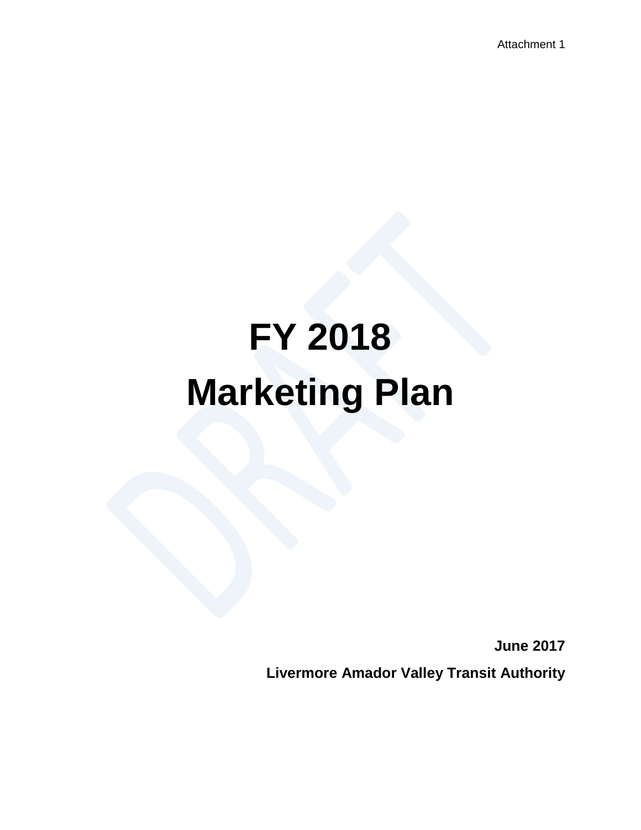Attachment 1

# **FY 2018 Marketing Plan**

**June 2017 Livermore Amador Valley Transit Authority**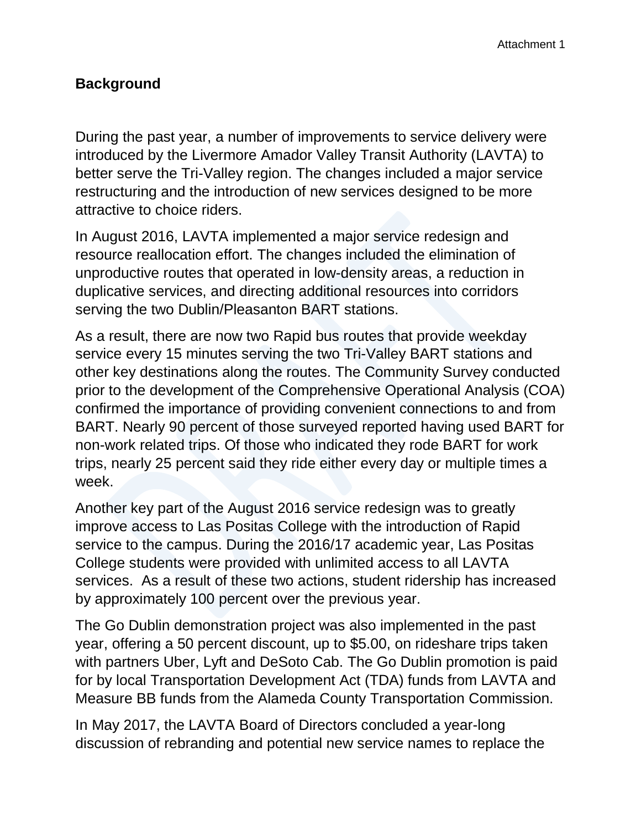#### **Background**

During the past year, a number of improvements to service delivery were introduced by the Livermore Amador Valley Transit Authority (LAVTA) to better serve the Tri-Valley region. The changes included a major service restructuring and the introduction of new services designed to be more attractive to choice riders.

In August 2016, LAVTA implemented a major service redesign and resource reallocation effort. The changes included the elimination of unproductive routes that operated in low-density areas, a reduction in duplicative services, and directing additional resources into corridors serving the two Dublin/Pleasanton BART stations.

As a result, there are now two Rapid bus routes that provide weekday service every 15 minutes serving the two Tri-Valley BART stations and other key destinations along the routes. The Community Survey conducted prior to the development of the Comprehensive Operational Analysis (COA) confirmed the importance of providing convenient connections to and from BART. Nearly 90 percent of those surveyed reported having used BART for non-work related trips. Of those who indicated they rode BART for work trips, nearly 25 percent said they ride either every day or multiple times a week.

Another key part of the August 2016 service redesign was to greatly improve access to Las Positas College with the introduction of Rapid service to the campus. During the 2016/17 academic year, Las Positas College students were provided with unlimited access to all LAVTA services. As a result of these two actions, student ridership has increased by approximately 100 percent over the previous year.

The Go Dublin demonstration project was also implemented in the past year, offering a 50 percent discount, up to \$5.00, on rideshare trips taken with partners Uber, Lyft and DeSoto Cab. The Go Dublin promotion is paid for by local Transportation Development Act (TDA) funds from LAVTA and Measure BB funds from the Alameda County Transportation Commission.

In May 2017, the LAVTA Board of Directors concluded a year-long discussion of rebranding and potential new service names to replace the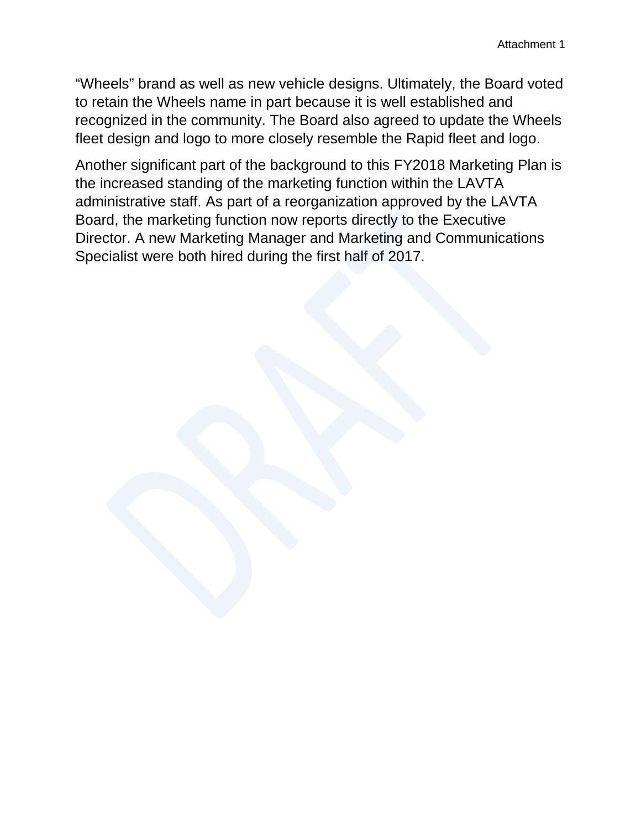"Wheels" brand as well as new vehicle designs. Ultimately, the Board voted to retain the Wheels name in part because it is well established and recognized in the community. The Board also agreed to update the Wheels fleet design and logo to more closely resemble the Rapid fleet and logo.

Another significant part of the background to this FY2018 Marketing Plan is the increased standing of the marketing function within the LAVTA administrative staff. As part of a reorganization approved by the LAVTA Board, the marketing function now reports directly to the Executive Director. A new Marketing Manager and Marketing and Communications Specialist were both hired during the first half of 2017.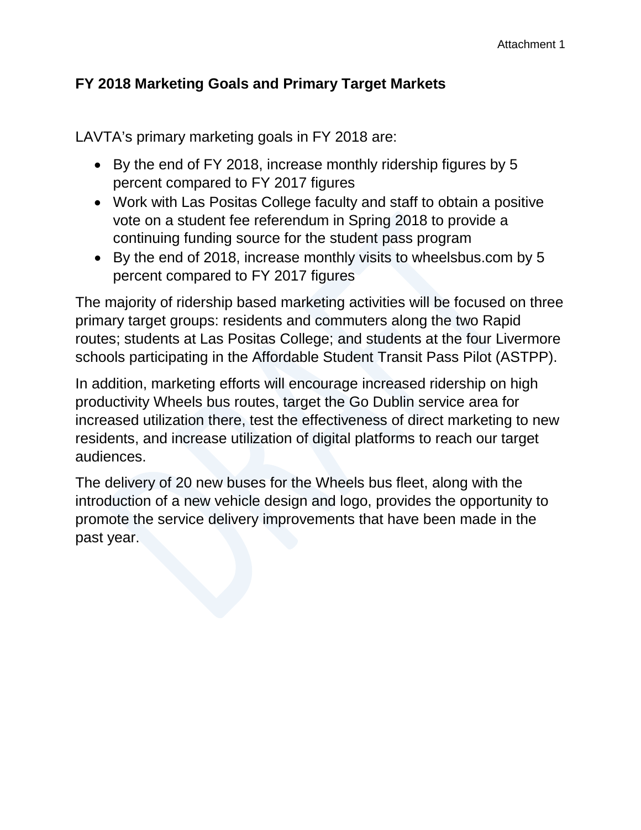## **FY 2018 Marketing Goals and Primary Target Markets**

LAVTA's primary marketing goals in FY 2018 are:

- By the end of FY 2018, increase monthly ridership figures by 5 percent compared to FY 2017 figures
- Work with Las Positas College faculty and staff to obtain a positive vote on a student fee referendum in Spring 2018 to provide a continuing funding source for the student pass program
- By the end of 2018, increase monthly visits to wheelsbus.com by 5 percent compared to FY 2017 figures

The majority of ridership based marketing activities will be focused on three primary target groups: residents and commuters along the two Rapid routes; students at Las Positas College; and students at the four Livermore schools participating in the Affordable Student Transit Pass Pilot (ASTPP).

In addition, marketing efforts will encourage increased ridership on high productivity Wheels bus routes, target the Go Dublin service area for increased utilization there, test the effectiveness of direct marketing to new residents, and increase utilization of digital platforms to reach our target audiences.

The delivery of 20 new buses for the Wheels bus fleet, along with the introduction of a new vehicle design and logo, provides the opportunity to promote the service delivery improvements that have been made in the past year.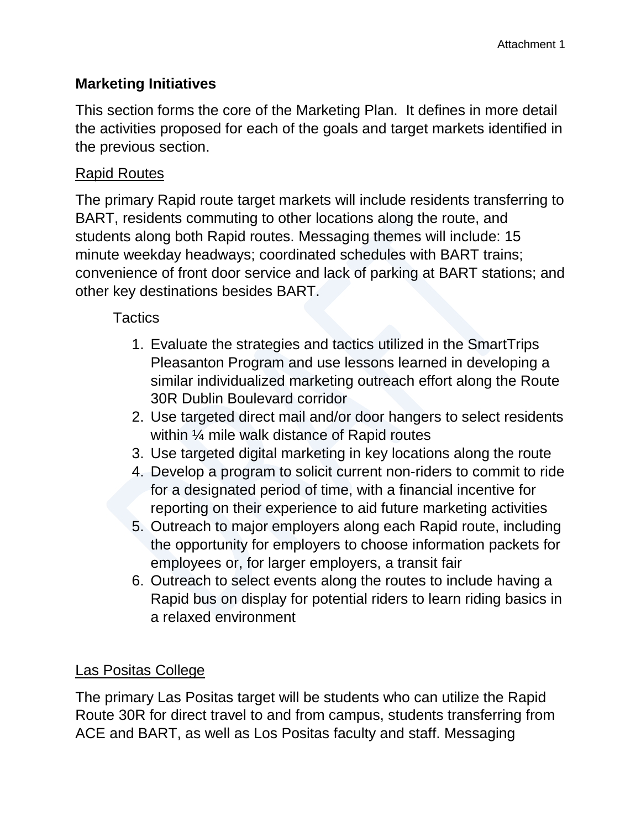## **Marketing Initiatives**

This section forms the core of the Marketing Plan. It defines in more detail the activities proposed for each of the goals and target markets identified in the previous section.

#### Rapid Routes

The primary Rapid route target markets will include residents transferring to BART, residents commuting to other locations along the route, and students along both Rapid routes. Messaging themes will include: 15 minute weekday headways; coordinated schedules with BART trains; convenience of front door service and lack of parking at BART stations; and other key destinations besides BART.

#### **Tactics**

- 1. Evaluate the strategies and tactics utilized in the SmartTrips Pleasanton Program and use lessons learned in developing a similar individualized marketing outreach effort along the Route 30R Dublin Boulevard corridor
- 2. Use targeted direct mail and/or door hangers to select residents within ¼ mile walk distance of Rapid routes
- 3. Use targeted digital marketing in key locations along the route
- 4. Develop a program to solicit current non-riders to commit to ride for a designated period of time, with a financial incentive for reporting on their experience to aid future marketing activities
- 5. Outreach to major employers along each Rapid route, including the opportunity for employers to choose information packets for employees or, for larger employers, a transit fair
- 6. Outreach to select events along the routes to include having a Rapid bus on display for potential riders to learn riding basics in a relaxed environment

## Las Positas College

The primary Las Positas target will be students who can utilize the Rapid Route 30R for direct travel to and from campus, students transferring from ACE and BART, as well as Los Positas faculty and staff. Messaging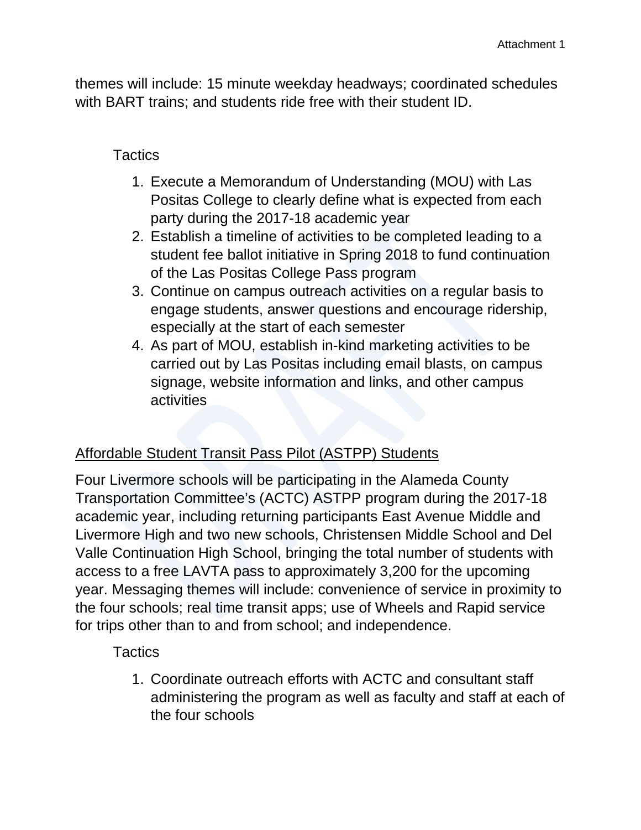themes will include: 15 minute weekday headways; coordinated schedules with BART trains; and students ride free with their student ID.

#### **Tactics**

- 1. Execute a Memorandum of Understanding (MOU) with Las Positas College to clearly define what is expected from each party during the 2017-18 academic year
- 2. Establish a timeline of activities to be completed leading to a student fee ballot initiative in Spring 2018 to fund continuation of the Las Positas College Pass program
- 3. Continue on campus outreach activities on a regular basis to engage students, answer questions and encourage ridership, especially at the start of each semester
- 4. As part of MOU, establish in-kind marketing activities to be carried out by Las Positas including email blasts, on campus signage, website information and links, and other campus activities

## Affordable Student Transit Pass Pilot (ASTPP) Students

Four Livermore schools will be participating in the Alameda County Transportation Committee's (ACTC) ASTPP program during the 2017-18 academic year, including returning participants East Avenue Middle and Livermore High and two new schools, Christensen Middle School and Del Valle Continuation High School, bringing the total number of students with access to a free LAVTA pass to approximately 3,200 for the upcoming year. Messaging themes will include: convenience of service in proximity to the four schools; real time transit apps; use of Wheels and Rapid service for trips other than to and from school; and independence.

## **Tactics**

1. Coordinate outreach efforts with ACTC and consultant staff administering the program as well as faculty and staff at each of the four schools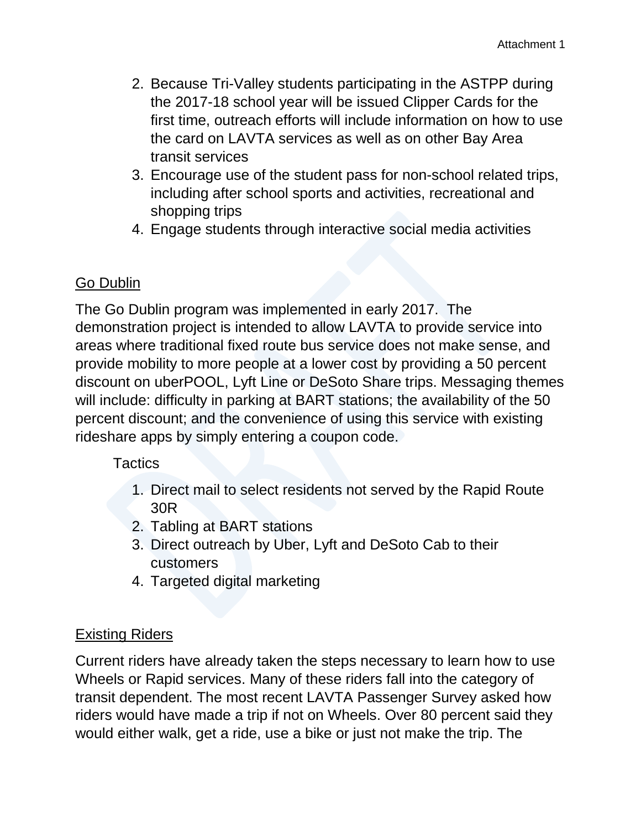- 2. Because Tri-Valley students participating in the ASTPP during the 2017-18 school year will be issued Clipper Cards for the first time, outreach efforts will include information on how to use the card on LAVTA services as well as on other Bay Area transit services
- 3. Encourage use of the student pass for non-school related trips, including after school sports and activities, recreational and shopping trips
- 4. Engage students through interactive social media activities

# Go Dublin

The Go Dublin program was implemented in early 2017. The demonstration project is intended to allow LAVTA to provide service into areas where traditional fixed route bus service does not make sense, and provide mobility to more people at a lower cost by providing a 50 percent discount on uberPOOL, Lyft Line or DeSoto Share trips. Messaging themes will include: difficulty in parking at BART stations; the availability of the 50 percent discount; and the convenience of using this service with existing rideshare apps by simply entering a coupon code.

#### **Tactics**

- 1. Direct mail to select residents not served by the Rapid Route 30R
- 2. Tabling at BART stations
- 3. Direct outreach by Uber, Lyft and DeSoto Cab to their customers
- 4. Targeted digital marketing

## Existing Riders

Current riders have already taken the steps necessary to learn how to use Wheels or Rapid services. Many of these riders fall into the category of transit dependent. The most recent LAVTA Passenger Survey asked how riders would have made a trip if not on Wheels. Over 80 percent said they would either walk, get a ride, use a bike or just not make the trip. The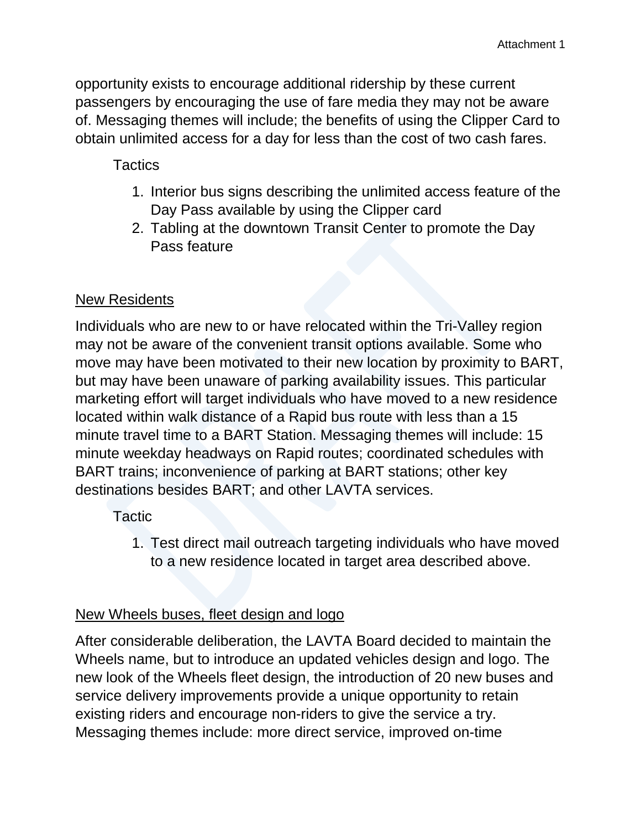opportunity exists to encourage additional ridership by these current passengers by encouraging the use of fare media they may not be aware of. Messaging themes will include; the benefits of using the Clipper Card to obtain unlimited access for a day for less than the cost of two cash fares.

**Tactics** 

- 1. Interior bus signs describing the unlimited access feature of the Day Pass available by using the Clipper card
- 2. Tabling at the downtown Transit Center to promote the Day Pass feature

## New Residents

Individuals who are new to or have relocated within the Tri-Valley region may not be aware of the convenient transit options available. Some who move may have been motivated to their new location by proximity to BART, but may have been unaware of parking availability issues. This particular marketing effort will target individuals who have moved to a new residence located within walk distance of a Rapid bus route with less than a 15 minute travel time to a BART Station. Messaging themes will include: 15 minute weekday headways on Rapid routes; coordinated schedules with BART trains; inconvenience of parking at BART stations; other key destinations besides BART; and other LAVTA services.

**Tactic** 

1. Test direct mail outreach targeting individuals who have moved to a new residence located in target area described above.

# New Wheels buses, fleet design and logo

After considerable deliberation, the LAVTA Board decided to maintain the Wheels name, but to introduce an updated vehicles design and logo. The new look of the Wheels fleet design, the introduction of 20 new buses and service delivery improvements provide a unique opportunity to retain existing riders and encourage non-riders to give the service a try. Messaging themes include: more direct service, improved on-time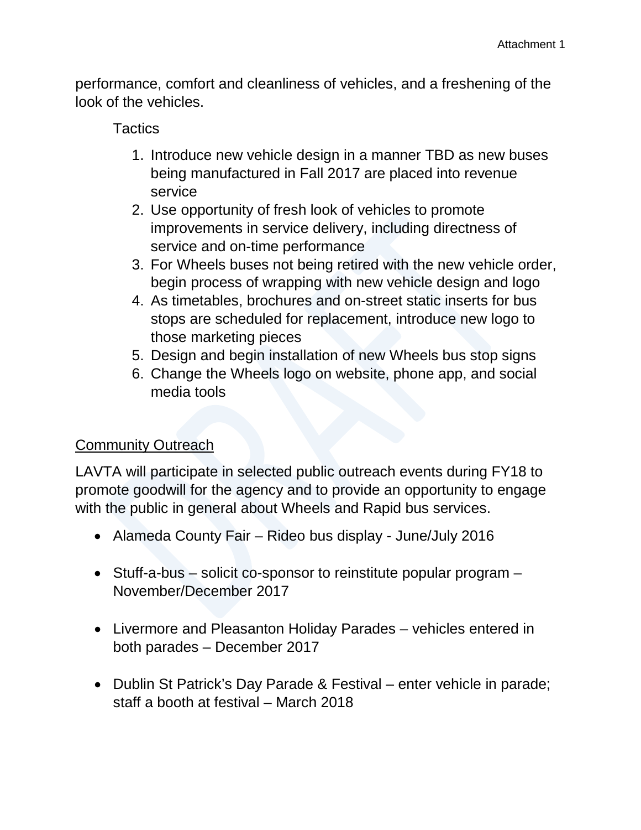performance, comfort and cleanliness of vehicles, and a freshening of the look of the vehicles.

#### **Tactics**

- 1. Introduce new vehicle design in a manner TBD as new buses being manufactured in Fall 2017 are placed into revenue service
- 2. Use opportunity of fresh look of vehicles to promote improvements in service delivery, including directness of service and on-time performance
- 3. For Wheels buses not being retired with the new vehicle order, begin process of wrapping with new vehicle design and logo
- 4. As timetables, brochures and on-street static inserts for bus stops are scheduled for replacement, introduce new logo to those marketing pieces
- 5. Design and begin installation of new Wheels bus stop signs
- 6. Change the Wheels logo on website, phone app, and social media tools

# **Community Outreach**

LAVTA will participate in selected public outreach events during FY18 to promote goodwill for the agency and to provide an opportunity to engage with the public in general about Wheels and Rapid bus services.

- Alameda County Fair Rideo bus display June/July 2016
- Stuff-a-bus solicit co-sponsor to reinstitute popular program November/December 2017
- Livermore and Pleasanton Holiday Parades vehicles entered in both parades – December 2017
- Dublin St Patrick's Day Parade & Festival enter vehicle in parade; staff a booth at festival – March 2018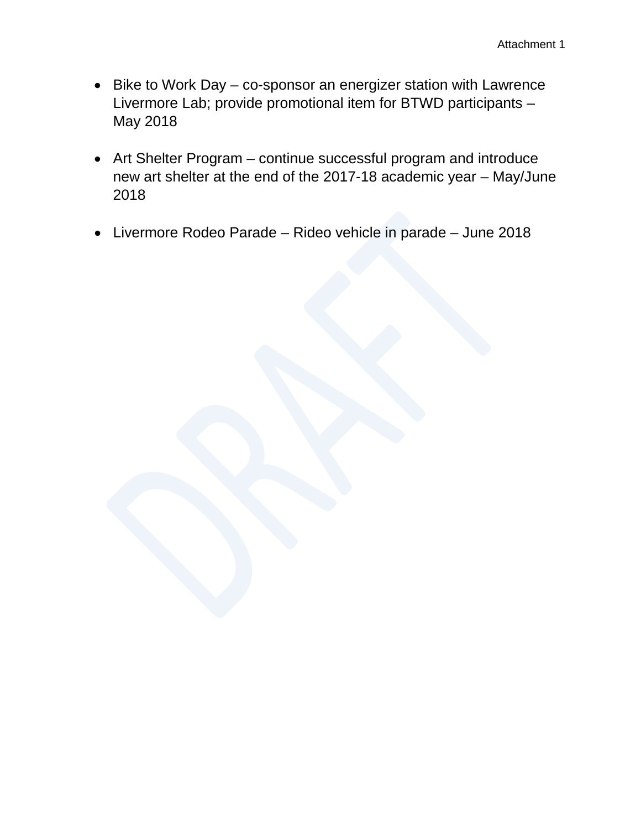- Bike to Work Day co-sponsor an energizer station with Lawrence Livermore Lab; provide promotional item for BTWD participants – May 2018
- Art Shelter Program continue successful program and introduce new art shelter at the end of the 2017-18 academic year – May/June 2018
- Livermore Rodeo Parade Rideo vehicle in parade June 2018